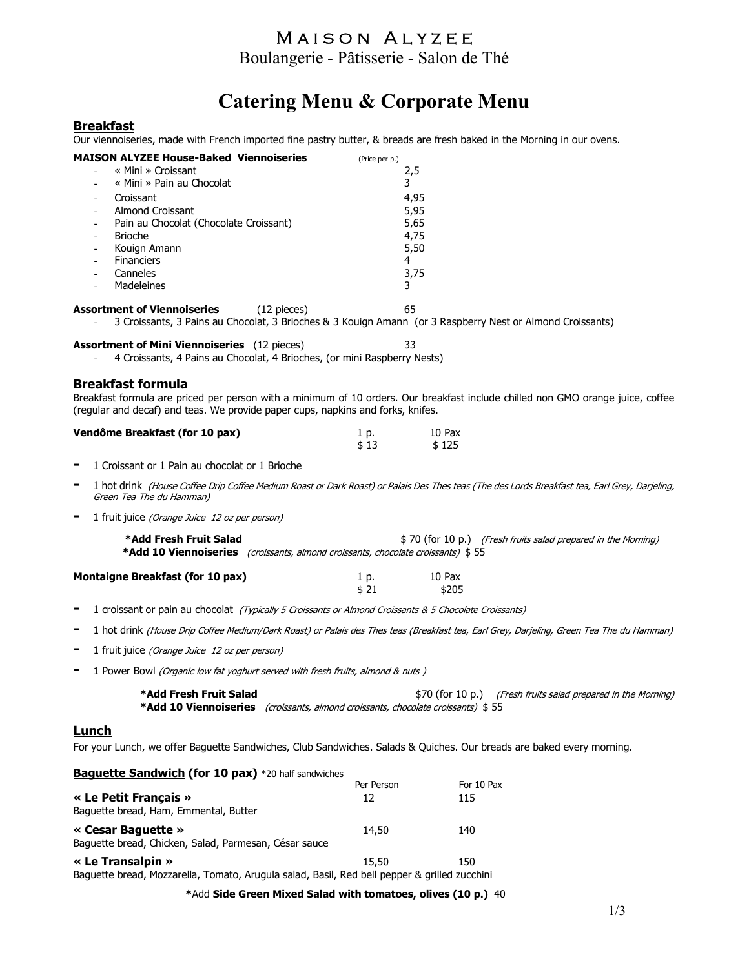## MAISON ALYZEE

Boulangerie - Pâtisserie - Salon de Thé

# Catering Menu & Corporate Menu

#### **Breakfast**

Our viennoiseries, made with French imported fine pastry butter, & breads are fresh baked in the Morning in our ovens.

| <b>MAISON ALYZEE House-Baked Viennoiseries</b><br>« Mini » Croissant<br>« Mini » Pain au Chocolat                                                                                                                                              | (Price per p.)   | 2,5<br>3                                  |                                                               |
|------------------------------------------------------------------------------------------------------------------------------------------------------------------------------------------------------------------------------------------------|------------------|-------------------------------------------|---------------------------------------------------------------|
| Croissant<br><b>Almond Croissant</b><br>Pain au Chocolat (Chocolate Croissant)<br><b>Brioche</b><br>Kouign Amann<br><b>Financiers</b>                                                                                                          |                  | 4,95<br>5,95<br>5,65<br>4,75<br>5,50<br>4 |                                                               |
| Canneles<br>Madeleines                                                                                                                                                                                                                         |                  | 3,75<br>3                                 |                                                               |
| <b>Assortment of Viennoiseries</b><br>$(12$ pieces)<br>3 Croissants, 3 Pains au Chocolat, 3 Brioches & 3 Kouign Amann (or 3 Raspberry Nest or Almond Croissants)                                                                               |                  | 65                                        |                                                               |
| <b>Assortment of Mini Viennoiseries</b> (12 pieces)<br>4 Croissants, 4 Pains au Chocolat, 4 Brioches, (or mini Raspberry Nests)                                                                                                                |                  | 33                                        |                                                               |
| <b>Breakfast formula</b><br>Breakfast formula are priced per person with a minimum of 10 orders. Our breakfast include chilled non GMO orange juice, coffee<br>(regular and decaf) and teas. We provide paper cups, napkins and forks, knifes. |                  |                                           |                                                               |
| Vendôme Breakfast (for 10 pax)                                                                                                                                                                                                                 | 1 p.<br>\$13     | 10 Pax<br>\$125                           |                                                               |
| 1 Croissant or 1 Pain au chocolat or 1 Brioche                                                                                                                                                                                                 |                  |                                           |                                                               |
| 1 hot drink (House Coffee Drip Coffee Medium Roast or Dark Roast) or Palais Des Thes teas (The des Lords Breakfast tea, Earl Grey, Darjeling,<br>Green Tea The du Hamman)                                                                      |                  |                                           |                                                               |
| -<br>1 fruit juice (Orange Juice 12 oz per person)                                                                                                                                                                                             |                  |                                           |                                                               |
| *Add Fresh Fruit Salad<br>*Add 10 Viennoiseries (croissants, almond croissants, chocolate croissants) \$55                                                                                                                                     |                  |                                           | \$70 (for 10 p.) (Fresh fruits salad prepared in the Morning) |
| <b>Montaigne Breakfast (for 10 pax)</b>                                                                                                                                                                                                        | 1 p.<br>\$21     | 10 Pax<br>\$205                           |                                                               |
| 1 croissant or pain au chocolat (Typically 5 Croissants or Almond Croissants & 5 Chocolate Croissants)<br>Ξ                                                                                                                                    |                  |                                           |                                                               |
| 1 hot drink (House Drip Coffee Medium/Dark Roast) or Palais des Thes teas (Breakfast tea, Earl Grey, Darjeling, Green Tea The du Hamman)<br>-                                                                                                  |                  |                                           |                                                               |
| 1 fruit juice (Orange Juice 12 oz per person)<br>-                                                                                                                                                                                             |                  |                                           |                                                               |
| 1 Power Bowl (Organic low fat yoghurt served with fresh fruits, almond & nuts)                                                                                                                                                                 |                  |                                           |                                                               |
| *Add Fresh Fruit Salad<br>*Add 10 Viennoiseries (croissants, almond croissants, chocolate croissants) \$55                                                                                                                                     |                  |                                           | \$70 (for 10 p.) (Fresh fruits salad prepared in the Morning) |
| <b>Lunch</b><br>For your Lunch, we offer Baguette Sandwiches, Club Sandwiches. Salads & Quiches. Our breads are baked every morning.                                                                                                           |                  |                                           |                                                               |
| <b>Baguette Sandwich (for 10 pax)</b> *20 half sandwiches                                                                                                                                                                                      |                  |                                           |                                                               |
| « Le Petit Français »<br>Baguette bread, Ham, Emmental, Butter                                                                                                                                                                                 | Per Person<br>12 | For 10 Pax<br>115                         |                                                               |
| « Cesar Baguette »<br>Baguette bread, Chicken, Salad, Parmesan, César sauce                                                                                                                                                                    | 14,50            | 140                                       |                                                               |
| « Le Transalpin »                                                                                                                                                                                                                              | 15,50            | 150                                       |                                                               |

Baguette bread, Mozzarella, Tomato, Arugula salad, Basil, Red bell pepper & grilled zucchini

\*Add Side Green Mixed Salad with tomatoes, olives (10 p.) 40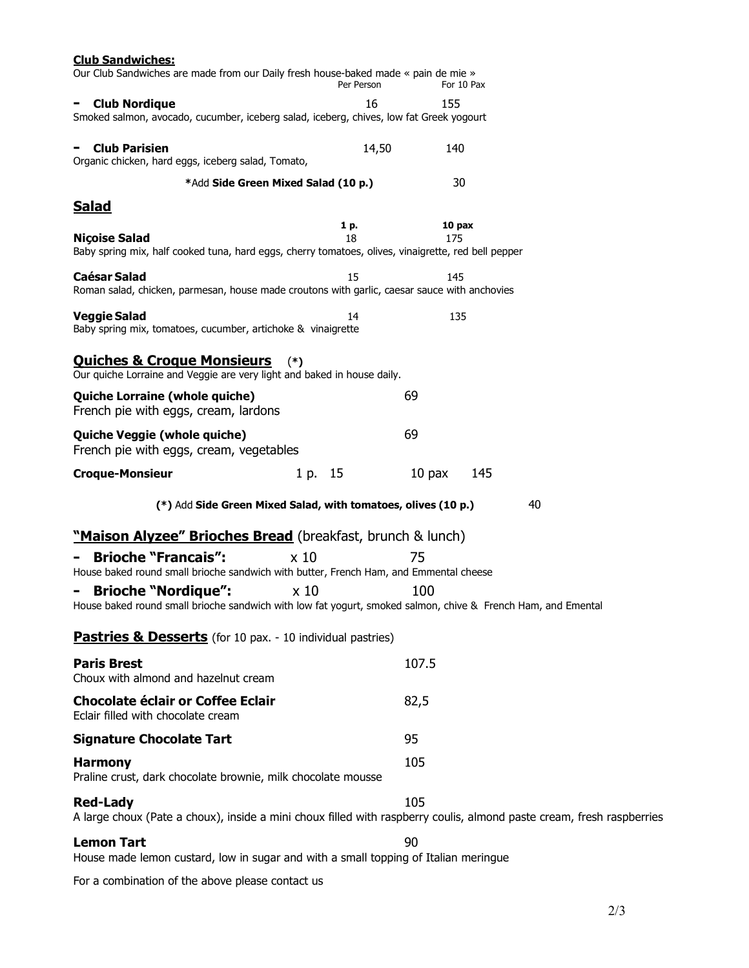| <u>Club Sandwiches:</u><br>Our Club Sandwiches are made from our Daily fresh house-baked made « pain de mie »                              | Per Person      |                 |    |
|--------------------------------------------------------------------------------------------------------------------------------------------|-----------------|-----------------|----|
|                                                                                                                                            | 16              | For 10 Pax      |    |
| <b>Club Nordique</b><br>Smoked salmon, avocado, cucumber, iceberg salad, iceberg, chives, low fat Greek yogourt                            |                 | 155             |    |
| <b>Club Parisien</b><br>Organic chicken, hard eggs, iceberg salad, Tomato,                                                                 | 14,50           | 140             |    |
| *Add Side Green Mixed Salad (10 p.)                                                                                                        |                 | 30              |    |
| <u>Salad</u>                                                                                                                               |                 |                 |    |
| <b>Niçoise Salad</b><br>Baby spring mix, half cooked tuna, hard eggs, cherry tomatoes, olives, vinaigrette, red bell pepper                | 1 p.<br>18      | 10 pax<br>175   |    |
| <b>Caésar Salad</b><br>Roman salad, chicken, parmesan, house made croutons with garlic, caesar sauce with anchovies                        | 15              | 145             |    |
| <b>Veggie Salad</b><br>Baby spring mix, tomatoes, cucumber, artichoke & vinaigrette                                                        | 14              | 135             |    |
| <b>Quiches &amp; Croque Monsieurs</b><br>Our quiche Lorraine and Veggie are very light and baked in house daily.                           | $(*)$           |                 |    |
| Quiche Lorraine (whole quiche)<br>French pie with eggs, cream, lardons                                                                     |                 | 69              |    |
| Quiche Veggie (whole quiche)<br>French pie with eggs, cream, vegetables                                                                    |                 | 69              |    |
| <b>Croque-Monsieur</b>                                                                                                                     | 1 p. 15         | $10$ pax<br>145 |    |
| (*) Add Side Green Mixed Salad, with tomatoes, olives (10 p.)                                                                              |                 |                 | 40 |
| "Maison Alyzee" Brioches Bread (breakfast, brunch & lunch)                                                                                 |                 |                 |    |
| <b>Brioche "Francais":</b><br>House baked round small brioche sandwich with butter, French Ham, and Emmental cheese                        | x <sub>10</sub> | 75              |    |
| <b>Brioche "Nordique":</b><br>House baked round small brioche sandwich with low fat yogurt, smoked salmon, chive & French Ham, and Emental | $\times 10$     | 100             |    |
| <b>Pastries &amp; Desserts</b> (for 10 pax. - 10 individual pastries)                                                                      |                 |                 |    |
| <b>Paris Brest</b><br>Choux with almond and hazelnut cream                                                                                 |                 | 107.5           |    |
| <b>Chocolate éclair or Coffee Eclair</b><br>Eclair filled with chocolate cream                                                             |                 | 82,5            |    |
| <b>Signature Chocolate Tart</b>                                                                                                            |                 | 95              |    |
| <b>Harmony</b><br>Praline crust, dark chocolate brownie, milk chocolate mousse                                                             |                 | 105             |    |
| <b>Red-Lady</b><br>A large choux (Pate a choux), inside a mini choux filled with raspberry coulis, almond paste cream, fresh raspberries   |                 | 105             |    |
| <b>Lemon Tart</b><br>House made lemon custard, low in sugar and with a small topping of Italian meringue                                   |                 | 90              |    |
| For a combination of the above please contact us                                                                                           |                 |                 |    |

 $2/3$